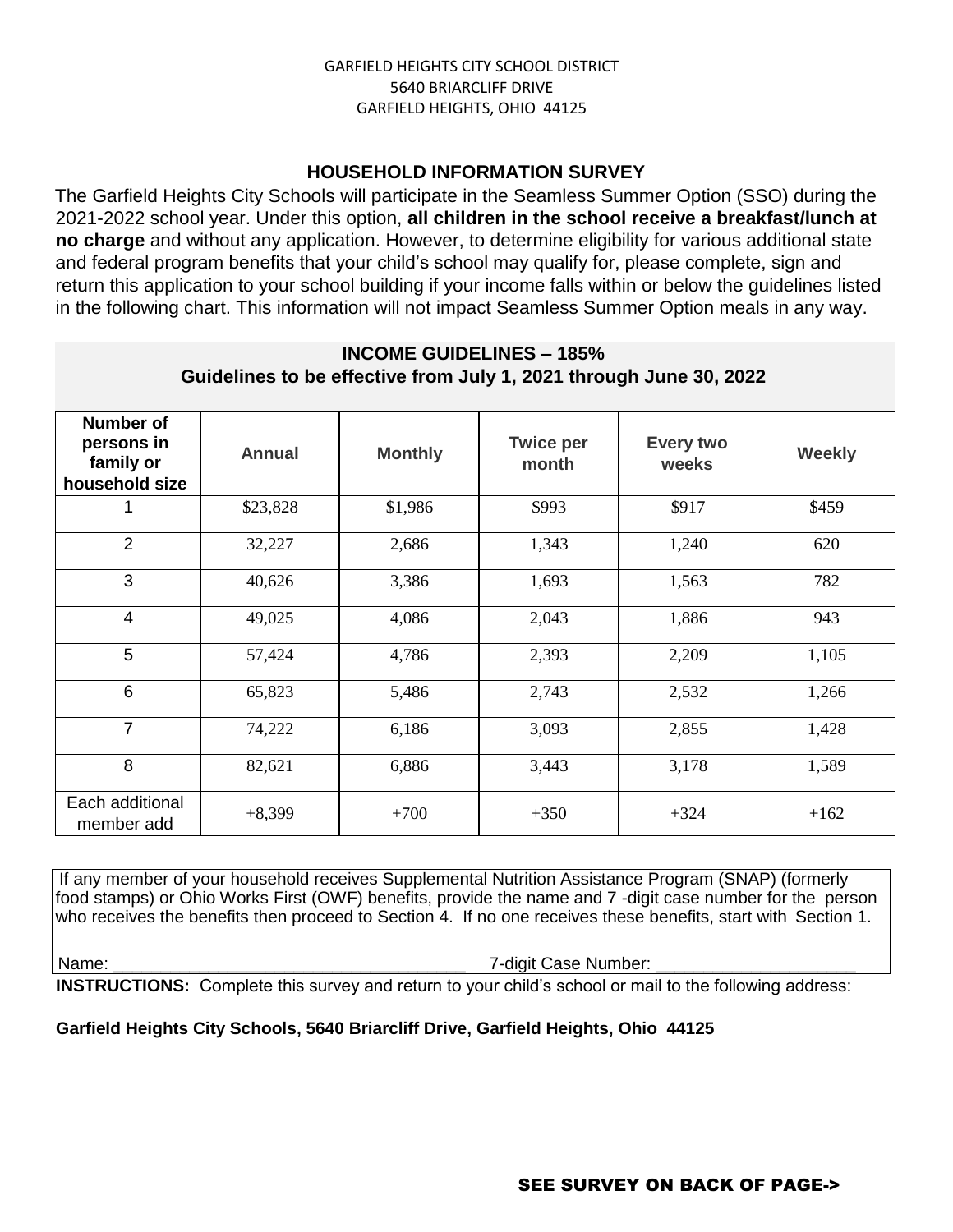## **HOUSEHOLD INFORMATION SURVEY**

The Garfield Heights City Schools will participate in the Seamless Summer Option (SSO) during the 2021-2022 school year. Under this option, **all children in the school receive a breakfast/lunch at no charge** and without any application. However, to determine eligibility for various additional state and federal program benefits that your child's school may qualify for, please complete, sign and return this application to your school building if your income falls within or below the guidelines listed in the following chart. This information will not impact Seamless Summer Option meals in any way.

## **INCOME GUIDELINES – 185% Guidelines to be effective from July 1, 2021 through June 30, 2022**

| <b>Number of</b><br>persons in<br>family or<br>household size | <b>Annual</b> | <b>Monthly</b> | <b>Twice per</b><br>month | Every two<br>weeks | <b>Weekly</b> |
|---------------------------------------------------------------|---------------|----------------|---------------------------|--------------------|---------------|
|                                                               | \$23,828      | \$1,986        | \$993                     | \$917              | \$459         |
| 2                                                             | 32,227        | 2,686          | 1,343                     | 1,240              | 620           |
| 3                                                             | 40,626        | 3,386          | 1,693                     | 1,563              | 782           |
| 4                                                             | 49,025        | 4,086          | 2,043                     | 1,886              | 943           |
| 5                                                             | 57,424        | 4,786          | 2,393                     | 2,209              | 1,105         |
| 6                                                             | 65,823        | 5,486          | 2,743                     | 2,532              | 1,266         |
| $\overline{7}$                                                | 74,222        | 6,186          | 3,093                     | 2,855              | 1,428         |
| 8                                                             | 82,621        | 6,886          | 3,443                     | 3,178              | 1,589         |
| Each additional<br>member add                                 | $+8,399$      | $+700$         | $+350$                    | $+324$             | $+162$        |

If any member of your household receives Supplemental Nutrition Assistance Program (SNAP) (formerly food stamps) or Ohio Works First (OWF) benefits, provide the name and 7 -digit case number for the person who receives the benefits then proceed to Section 4. If no one receives these benefits, start with Section 1.

Name: \_\_\_\_\_\_\_\_\_\_\_\_\_\_\_\_\_\_\_\_\_\_\_\_\_\_\_\_\_\_\_\_\_\_\_\_\_ 7-digit Case Number: \_\_\_\_\_\_\_\_\_\_\_\_\_\_\_\_\_\_\_\_\_

**INSTRUCTIONS:** Complete this survey and return to your child's school or mail to the following address:

## **Garfield Heights City Schools, 5640 Briarcliff Drive, Garfield Heights, Ohio 44125**